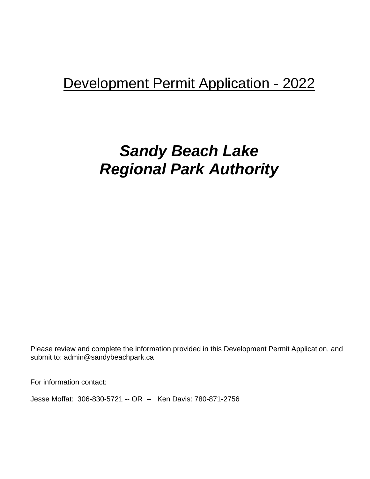## Development Permit Application - 2022

# *Sandy Beach Lake Regional Park Authority*

Please review and complete the information provided in this Development Permit Application, and submit to: admin@sandybeachpark.ca

For information contact:

Jesse Moffat: 306-830-5721 -- OR -- Ken Davis: 780-871-2756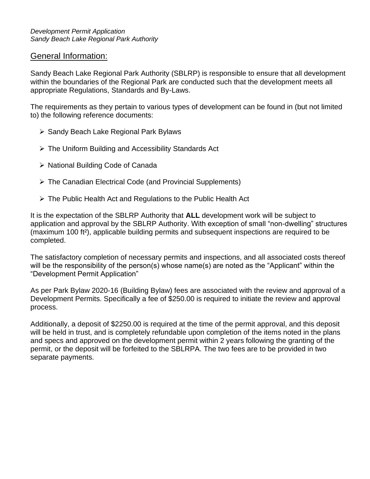## General Information:

Sandy Beach Lake Regional Park Authority (SBLRP) is responsible to ensure that all development within the boundaries of the Regional Park are conducted such that the development meets all appropriate Regulations, Standards and By-Laws.

The requirements as they pertain to various types of development can be found in (but not limited to) the following reference documents:

- ➢ Sandy Beach Lake Regional Park Bylaws
- ➢ The Uniform Building and Accessibility Standards Act
- ➢ National Building Code of Canada
- ➢ The Canadian Electrical Code (and Provincial Supplements)
- ➢ The Public Health Act and Regulations to the Public Health Act

It is the expectation of the SBLRP Authority that **ALL** development work will be subject to application and approval by the SBLRP Authority. With exception of small "non-dwelling" structures (maximum 100 ft²), applicable building permits and subsequent inspections are required to be completed.

The satisfactory completion of necessary permits and inspections, and all associated costs thereof will be the responsibility of the person(s) whose name(s) are noted as the "Applicant" within the "Development Permit Application"

As per Park Bylaw 2020-16 (Building Bylaw) fees are associated with the review and approval of a Development Permits. Specifically a fee of \$250.00 is required to initiate the review and approval process.

Additionally, a deposit of \$2250.00 is required at the time of the permit approval, and this deposit will be held in trust, and is completely refundable upon completion of the items noted in the plans and specs and approved on the development permit within 2 years following the granting of the permit, or the deposit will be forfeited to the SBLRPA. The two fees are to be provided in two separate payments.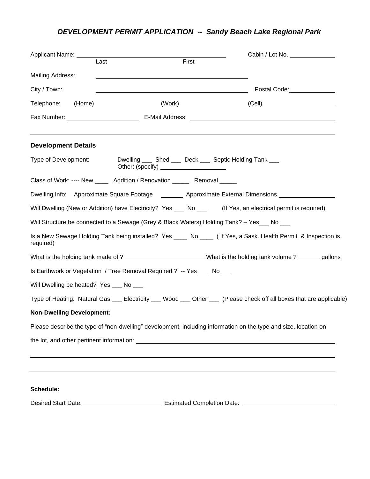## *DEVELOPMENT PERMIT APPLICATION -- Sandy Beach Lake Regional Park*

| Applicant Name: 1997                    |                                                                         | Cabin / Lot No.                                                                                                      |
|-----------------------------------------|-------------------------------------------------------------------------|----------------------------------------------------------------------------------------------------------------------|
|                                         | First<br>Last                                                           |                                                                                                                      |
| <b>Mailing Address:</b>                 |                                                                         |                                                                                                                      |
| City / Town:                            | <u> 1989 - Johann Barbara, markazi bashkar mashrida (h. 1989).</u>      | Postal Code: <u>________________</u>                                                                                 |
| Telephone:                              |                                                                         | (Home) (Work) (Cell)                                                                                                 |
|                                         |                                                                         |                                                                                                                      |
| <b>Development Details</b>              |                                                                         |                                                                                                                      |
| Type of Development:                    | Dwelling ____ Shed ____ Deck ____ Septic Holding Tank ___               |                                                                                                                      |
|                                         | Class of Work: ---- New _____ Addition / Renovation _____ Removal _____ |                                                                                                                      |
|                                         |                                                                         | Dwelling Info: Approximate Square Footage ________ Approximate External Dimensions                                   |
|                                         |                                                                         | Will Dwelling (New or Addition) have Electricity? Yes __ No __ (If Yes, an electrical permit is required)            |
|                                         |                                                                         | Will Structure be connected to a Sewage (Grey & Black Waters) Holding Tank? - Yes___ No ___                          |
| required)                               |                                                                         | Is a New Sewage Holding Tank being installed? Yes ____ No ____ (If Yes, a Sask. Health Permit & Inspection is        |
|                                         |                                                                         | What is the holding tank made of ? ___________________________What is the holding tank volume ?________gallons       |
|                                         | Is Earthwork or Vegetation / Tree Removal Required ? -- Yes ___ No ___  |                                                                                                                      |
| Will Dwelling be heated? Yes ___ No ___ |                                                                         |                                                                                                                      |
|                                         |                                                                         | Type of Heating: Natural Gas ___ Electricity ___ Wood ___ Other ___ (Please check off all boxes that are applicable) |
| <b>Non-Dwelling Development:</b>        |                                                                         |                                                                                                                      |
|                                         |                                                                         | Please describe the type of "non-dwelling" development, including information on the type and size, location on      |
|                                         |                                                                         |                                                                                                                      |
|                                         |                                                                         |                                                                                                                      |
| Schedule:                               |                                                                         |                                                                                                                      |
|                                         |                                                                         |                                                                                                                      |